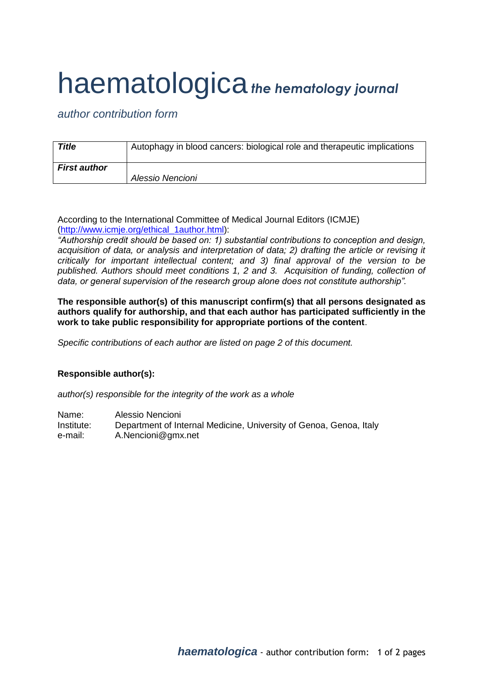## haematologica*the hematology journal*

*author contribution form*

| <b>Title</b>        | Autophagy in blood cancers: biological role and therapeutic implications |
|---------------------|--------------------------------------------------------------------------|
| <b>First author</b> | Alessio Nencioni                                                         |
|                     |                                                                          |

According to the International Committee of Medical Journal Editors (ICMJE) [\(http://www.icmje.org/ethical\\_1author.html\)](http://www.icmje.org/ethical_1author.html):

*"Authorship credit should be based on: 1) substantial contributions to conception and design, acquisition of data, or analysis and interpretation of data; 2) drafting the article or revising it critically for important intellectual content; and 3) final approval of the version to be published. Authors should meet conditions 1, 2 and 3. Acquisition of funding, collection of data, or general supervision of the research group alone does not constitute authorship".*

**The responsible author(s) of this manuscript confirm(s) that all persons designated as authors qualify for authorship, and that each author has participated sufficiently in the work to take public responsibility for appropriate portions of the content**.

*Specific contributions of each author are listed on page 2 of this document.*

## **Responsible author(s):**

*author(s) responsible for the integrity of the work as a whole*

Name: Alessio Nencioni Institute: Department of Internal Medicine, University of Genoa, Genoa, Italy e-mail: A.Nencioni@gmx.net